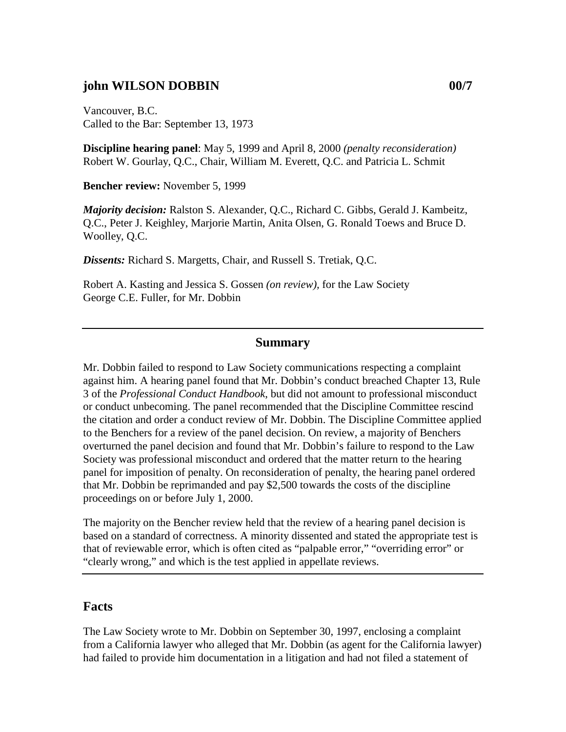## **john WILSON DOBBIN 00/7**

Vancouver, B.C. Called to the Bar: September 13, 1973

**Discipline hearing panel**: May 5, 1999 and April 8, 2000 *(penalty reconsideration)*  Robert W. Gourlay, Q.C., Chair, William M. Everett, Q.C. and Patricia L. Schmit

**Bencher review:** November 5, 1999

*Majority decision:* Ralston S. Alexander, Q.C., Richard C. Gibbs, Gerald J. Kambeitz, Q.C., Peter J. Keighley, Marjorie Martin, Anita Olsen, G. Ronald Toews and Bruce D. Woolley, Q.C.

*Dissents:* Richard S. Margetts, Chair, and Russell S. Tretiak, Q.C.

Robert A. Kasting and Jessica S. Gossen *(on review),* for the Law Society George C.E. Fuller, for Mr. Dobbin

#### **Summary**

Mr. Dobbin failed to respond to Law Society communications respecting a complaint against him. A hearing panel found that Mr. Dobbin's conduct breached Chapter 13, Rule 3 of the *Professional Conduct Handbook*, but did not amount to professional misconduct or conduct unbecoming. The panel recommended that the Discipline Committee rescind the citation and order a conduct review of Mr. Dobbin. The Discipline Committee applied to the Benchers for a review of the panel decision. On review, a majority of Benchers overturned the panel decision and found that Mr. Dobbin's failure to respond to the Law Society was professional misconduct and ordered that the matter return to the hearing panel for imposition of penalty. On reconsideration of penalty, the hearing panel ordered that Mr. Dobbin be reprimanded and pay \$2,500 towards the costs of the discipline proceedings on or before July 1, 2000.

The majority on the Bencher review held that the review of a hearing panel decision is based on a standard of correctness. A minority dissented and stated the appropriate test is that of reviewable error, which is often cited as "palpable error," "overriding error" or "clearly wrong," and which is the test applied in appellate reviews.

### **Facts**

The Law Society wrote to Mr. Dobbin on September 30, 1997, enclosing a complaint from a California lawyer who alleged that Mr. Dobbin (as agent for the California lawyer) had failed to provide him documentation in a litigation and had not filed a statement of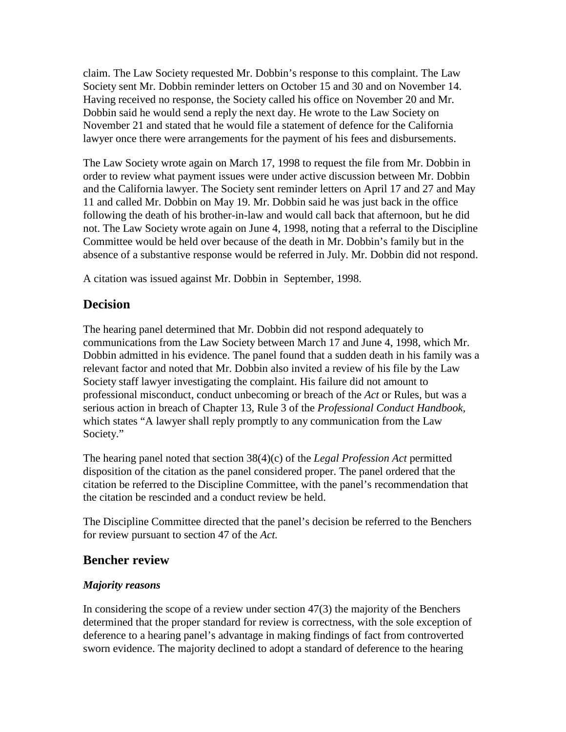claim. The Law Society requested Mr. Dobbin's response to this complaint. The Law Society sent Mr. Dobbin reminder letters on October 15 and 30 and on November 14. Having received no response, the Society called his office on November 20 and Mr. Dobbin said he would send a reply the next day. He wrote to the Law Society on November 21 and stated that he would file a statement of defence for the California lawyer once there were arrangements for the payment of his fees and disbursements.

The Law Society wrote again on March 17, 1998 to request the file from Mr. Dobbin in order to review what payment issues were under active discussion between Mr. Dobbin and the California lawyer. The Society sent reminder letters on April 17 and 27 and May 11 and called Mr. Dobbin on May 19. Mr. Dobbin said he was just back in the office following the death of his brother-in-law and would call back that afternoon, but he did not. The Law Society wrote again on June 4, 1998, noting that a referral to the Discipline Committee would be held over because of the death in Mr. Dobbin's family but in the absence of a substantive response would be referred in July. Mr. Dobbin did not respond.

A citation was issued against Mr. Dobbin in September, 1998.

# **Decision**

The hearing panel determined that Mr. Dobbin did not respond adequately to communications from the Law Society between March 17 and June 4, 1998, which Mr. Dobbin admitted in his evidence. The panel found that a sudden death in his family was a relevant factor and noted that Mr. Dobbin also invited a review of his file by the Law Society staff lawyer investigating the complaint. His failure did not amount to professional misconduct, conduct unbecoming or breach of the *Act* or Rules, but was a serious action in breach of Chapter 13, Rule 3 of the *Professional Conduct Handbook,*  which states "A lawyer shall reply promptly to any communication from the Law Society."

The hearing panel noted that section 38(4)(c) of the *Legal Profession Act* permitted disposition of the citation as the panel considered proper. The panel ordered that the citation be referred to the Discipline Committee, with the panel's recommendation that the citation be rescinded and a conduct review be held.

The Discipline Committee directed that the panel's decision be referred to the Benchers for review pursuant to section 47 of the *Act.*

## **Bencher review**

### *Majority reasons*

In considering the scope of a review under section 47(3) the majority of the Benchers determined that the proper standard for review is correctness, with the sole exception of deference to a hearing panel's advantage in making findings of fact from controverted sworn evidence. The majority declined to adopt a standard of deference to the hearing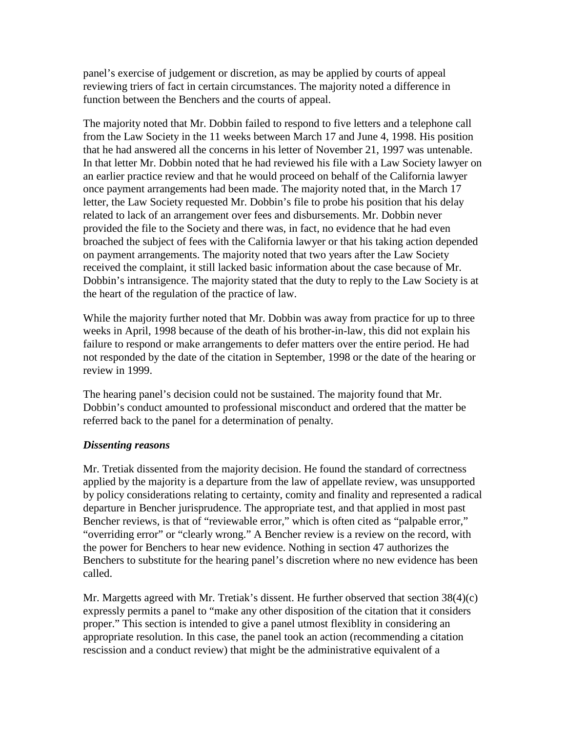panel's exercise of judgement or discretion, as may be applied by courts of appeal reviewing triers of fact in certain circumstances. The majority noted a difference in function between the Benchers and the courts of appeal.

The majority noted that Mr. Dobbin failed to respond to five letters and a telephone call from the Law Society in the 11 weeks between March 17 and June 4, 1998. His position that he had answered all the concerns in his letter of November 21, 1997 was untenable. In that letter Mr. Dobbin noted that he had reviewed his file with a Law Society lawyer on an earlier practice review and that he would proceed on behalf of the California lawyer once payment arrangements had been made. The majority noted that, in the March 17 letter, the Law Society requested Mr. Dobbin's file to probe his position that his delay related to lack of an arrangement over fees and disbursements. Mr. Dobbin never provided the file to the Society and there was, in fact, no evidence that he had even broached the subject of fees with the California lawyer or that his taking action depended on payment arrangements. The majority noted that two years after the Law Society received the complaint, it still lacked basic information about the case because of Mr. Dobbin's intransigence. The majority stated that the duty to reply to the Law Society is at the heart of the regulation of the practice of law.

While the majority further noted that Mr. Dobbin was away from practice for up to three weeks in April, 1998 because of the death of his brother-in-law, this did not explain his failure to respond or make arrangements to defer matters over the entire period. He had not responded by the date of the citation in September, 1998 or the date of the hearing or review in 1999.

The hearing panel's decision could not be sustained. The majority found that Mr. Dobbin's conduct amounted to professional misconduct and ordered that the matter be referred back to the panel for a determination of penalty.

#### *Dissenting reasons*

Mr. Tretiak dissented from the majority decision. He found the standard of correctness applied by the majority is a departure from the law of appellate review, was unsupported by policy considerations relating to certainty, comity and finality and represented a radical departure in Bencher jurisprudence. The appropriate test, and that applied in most past Bencher reviews, is that of "reviewable error," which is often cited as "palpable error," "overriding error" or "clearly wrong." A Bencher review is a review on the record, with the power for Benchers to hear new evidence. Nothing in section 47 authorizes the Benchers to substitute for the hearing panel's discretion where no new evidence has been called.

Mr. Margetts agreed with Mr. Tretiak's dissent. He further observed that section 38(4)(c) expressly permits a panel to "make any other disposition of the citation that it considers proper." This section is intended to give a panel utmost flexiblity in considering an appropriate resolution. In this case, the panel took an action (recommending a citation rescission and a conduct review) that might be the administrative equivalent of a